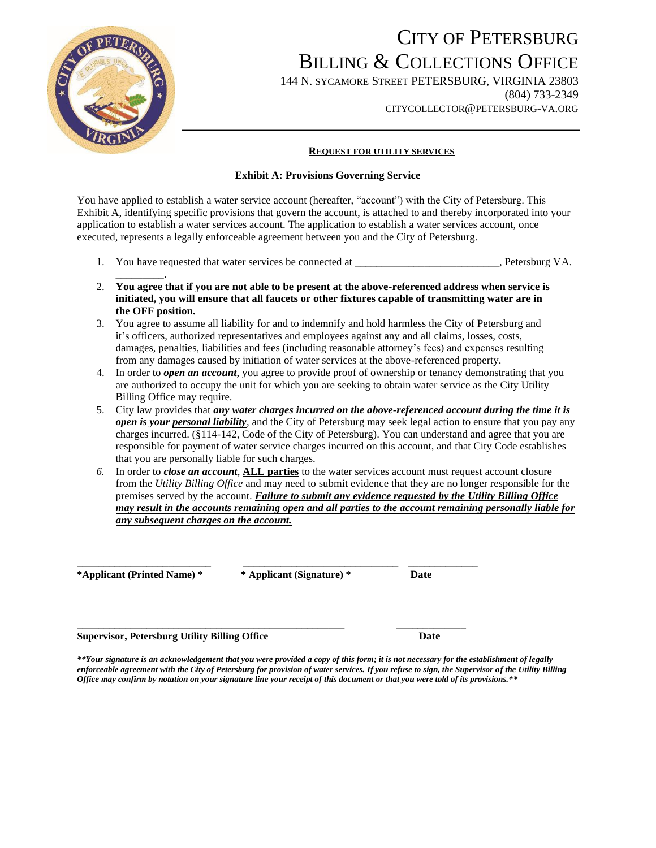

## CITY OF PETERSBURG BILLING & COLLECTIONS OFFICE

144 N. SYCAMORE STREET PETERSBURG, VIRGINIA 23803 (804) 733-2349 CITYCOLLECTOR@PETERSBURG-VA.ORG

#### **REQUEST FOR UTILITY SERVICES**

#### **Exhibit A: Provisions Governing Service**

You have applied to establish a water service account (hereafter, "account") with the City of Petersburg. This Exhibit A, identifying specific provisions that govern the account, is attached to and thereby incorporated into your application to establish a water services account. The application to establish a water services account, once executed, represents a legally enforceable agreement between you and the City of Petersburg.

- 1. You have requested that water services be connected at \_\_\_\_\_\_\_\_\_\_\_\_\_\_\_\_\_\_\_\_, Petersburg VA.
- 2. **You agree that if you are not able to be present at the above-referenced address when service is initiated, you will ensure that all faucets or other fixtures capable of transmitting water are in the OFF position.**
- 3. You agree to assume all liability for and to indemnify and hold harmless the City of Petersburg and it's officers, authorized representatives and employees against any and all claims, losses, costs, damages, penalties, liabilities and fees (including reasonable attorney's fees) and expenses resulting from any damages caused by initiation of water services at the above-referenced property.
- 4. In order to *open an account*, you agree to provide proof of ownership or tenancy demonstrating that you are authorized to occupy the unit for which you are seeking to obtain water service as the City Utility Billing Office may require.
- 5. City law provides that *any water charges incurred on the above-referenced account during the time it is open is your personal liability*, and the City of Petersburg may seek legal action to ensure that you pay any charges incurred. (§114-142, Code of the City of Petersburg). You can understand and agree that you are responsible for payment of water service charges incurred on this account, and that City Code establishes that you are personally liable for such charges.
- *6.* In order to *close an account*, **ALL parties** to the water services account must request account closure from the *Utility Billing Office* and may need to submit evidence that they are no longer responsible for the premises served by the account. *Failure to submit any evidence requested by the Utility Billing Office may result in the accounts remaining open and all parties to the account remaining personally liable for any subsequent charges on the account.*

**\*Applicant (Printed Name) \* \* Applicant (Signature) \* Date**

\_\_\_\_\_\_\_\_\_.

\_\_\_\_\_\_\_\_\_\_\_\_\_\_\_\_\_\_\_\_\_\_\_\_\_ \_\_\_\_\_\_\_\_\_\_\_\_\_\_\_\_\_\_\_\_\_\_\_\_\_\_\_\_\_ \_\_\_\_\_\_\_\_\_\_\_\_\_

\_\_\_\_\_\_\_\_\_\_\_\_\_\_\_\_\_\_\_\_\_\_\_\_\_\_\_\_\_\_\_\_\_\_\_\_\_\_\_\_\_\_\_\_\_\_\_\_\_\_ \_\_\_\_\_\_\_\_\_\_\_\_\_ **Supervisor, Petersburg Utility Billing Office Date**

*\*\*Your signature is an acknowledgement that you were provided a copy of this form; it is not necessary for the establishment of legally enforceable agreement with the City of Petersburg for provision of water services. If you refuse to sign, the Supervisor of the Utility Billing Office may confirm by notation on your signature line your receipt of this document or that you were told of its provisions.\*\**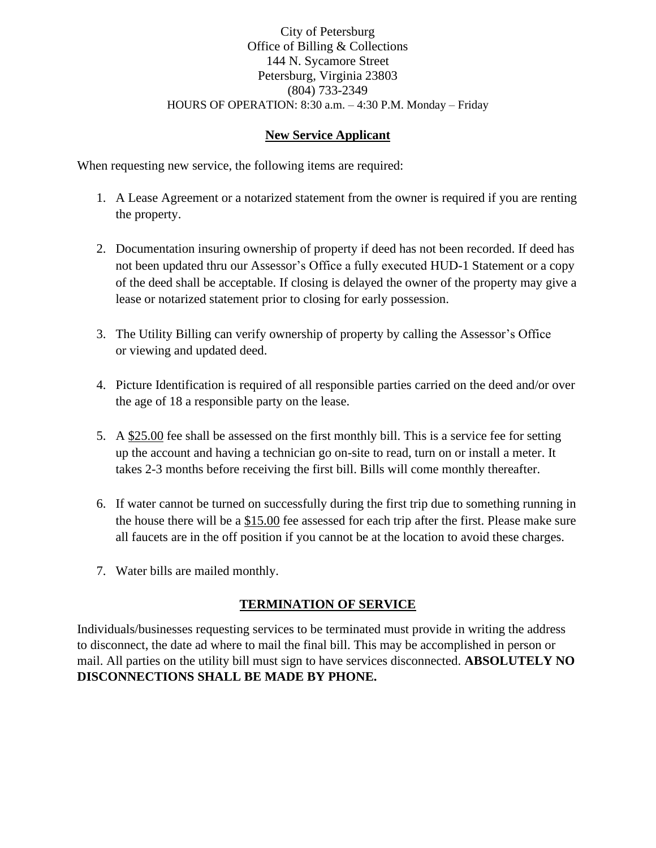### City of Petersburg Office of Billing & Collections 144 N. Sycamore Street Petersburg, Virginia 23803 (804) 733-2349 HOURS OF OPERATION: 8:30 a.m. – 4:30 P.M. Monday – Friday

### **New Service Applicant**

When requesting new service, the following items are required:

- 1. A Lease Agreement or a notarized statement from the owner is required if you are renting the property.
- 2. Documentation insuring ownership of property if deed has not been recorded. If deed has not been updated thru our Assessor's Office a fully executed HUD-1 Statement or a copy of the deed shall be acceptable. If closing is delayed the owner of the property may give a lease or notarized statement prior to closing for early possession.
- 3. The Utility Billing can verify ownership of property by calling the Assessor's Office or viewing and updated deed.
- 4. Picture Identification is required of all responsible parties carried on the deed and/or over the age of 18 a responsible party on the lease.
- 5. A \$25.00 fee shall be assessed on the first monthly bill. This is a service fee for setting up the account and having a technician go on-site to read, turn on or install a meter. It takes 2-3 months before receiving the first bill. Bills will come monthly thereafter.
- 6. If water cannot be turned on successfully during the first trip due to something running in the house there will be a \$15.00 fee assessed for each trip after the first. Please make sure all faucets are in the off position if you cannot be at the location to avoid these charges.
- 7. Water bills are mailed monthly.

## **TERMINATION OF SERVICE**

Individuals/businesses requesting services to be terminated must provide in writing the address to disconnect, the date ad where to mail the final bill. This may be accomplished in person or mail. All parties on the utility bill must sign to have services disconnected. **ABSOLUTELY NO DISCONNECTIONS SHALL BE MADE BY PHONE.**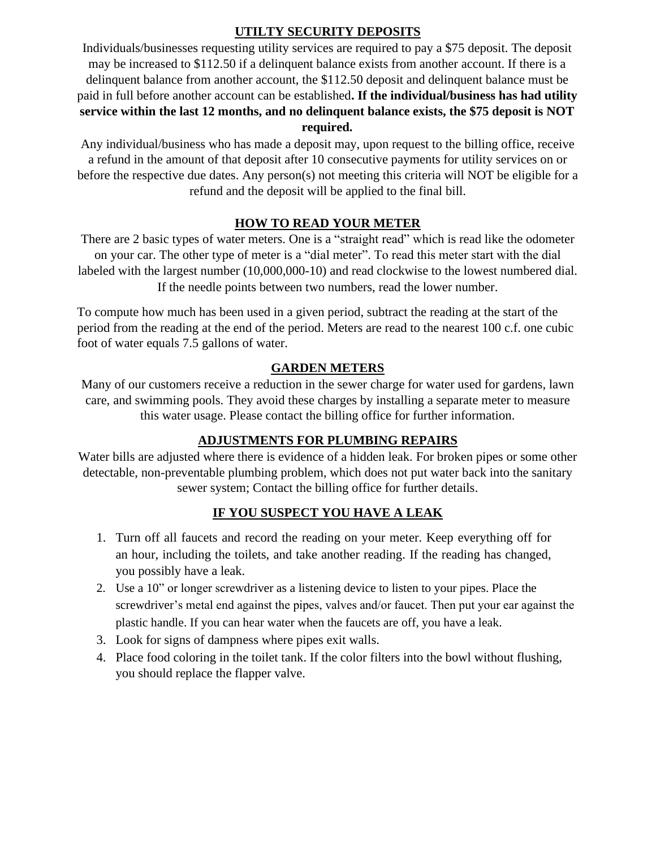## **UTILTY SECURITY DEPOSITS**

Individuals/businesses requesting utility services are required to pay a \$75 deposit. The deposit may be increased to \$112.50 if a delinquent balance exists from another account. If there is a delinquent balance from another account, the \$112.50 deposit and delinquent balance must be paid in full before another account can be established**. If the individual/business has had utility service within the last 12 months, and no delinquent balance exists, the \$75 deposit is NOT required.**

Any individual/business who has made a deposit may, upon request to the billing office, receive a refund in the amount of that deposit after 10 consecutive payments for utility services on or before the respective due dates. Any person(s) not meeting this criteria will NOT be eligible for a refund and the deposit will be applied to the final bill.

## **HOW TO READ YOUR METER**

There are 2 basic types of water meters. One is a "straight read" which is read like the odometer on your car. The other type of meter is a "dial meter". To read this meter start with the dial labeled with the largest number (10,000,000-10) and read clockwise to the lowest numbered dial. If the needle points between two numbers, read the lower number.

To compute how much has been used in a given period, subtract the reading at the start of the period from the reading at the end of the period. Meters are read to the nearest 100 c.f. one cubic foot of water equals 7.5 gallons of water.

## **GARDEN METERS**

Many of our customers receive a reduction in the sewer charge for water used for gardens, lawn care, and swimming pools. They avoid these charges by installing a separate meter to measure this water usage. Please contact the billing office for further information.

## **ADJUSTMENTS FOR PLUMBING REPAIRS**

Water bills are adjusted where there is evidence of a hidden leak. For broken pipes or some other detectable, non-preventable plumbing problem, which does not put water back into the sanitary sewer system; Contact the billing office for further details.

## **IF YOU SUSPECT YOU HAVE A LEAK**

- 1. Turn off all faucets and record the reading on your meter. Keep everything off for an hour, including the toilets, and take another reading. If the reading has changed, you possibly have a leak.
- 2. Use a 10" or longer screwdriver as a listening device to listen to your pipes. Place the screwdriver's metal end against the pipes, valves and/or faucet. Then put your ear against the plastic handle. If you can hear water when the faucets are off, you have a leak.
- 3. Look for signs of dampness where pipes exit walls.
- 4. Place food coloring in the toilet tank. If the color filters into the bowl without flushing, you should replace the flapper valve.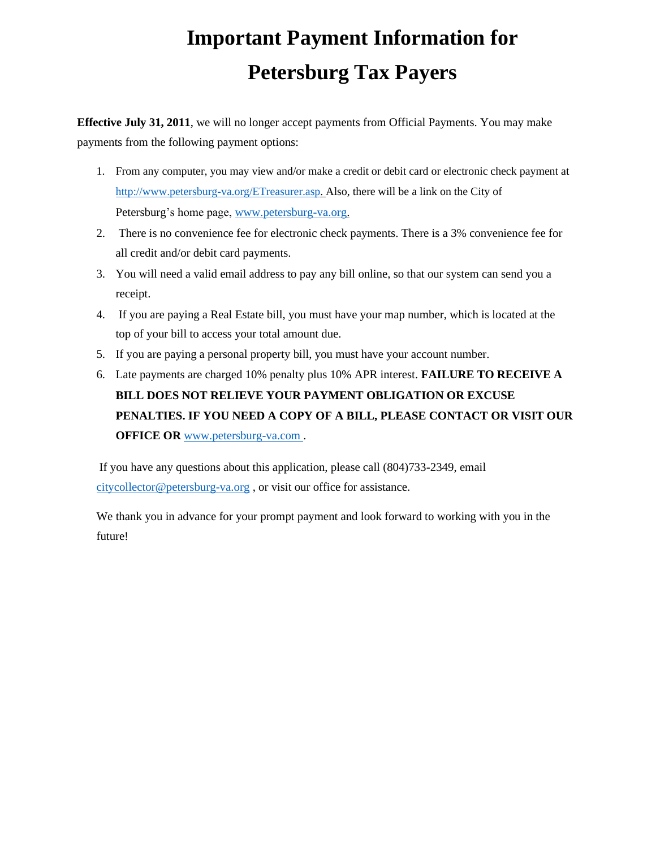# **Important Payment Information for Petersburg Tax Payers**

**Effective July 31, 2011**, we will no longer accept payments from Official Payments. You may make payments from the following payment options:

- 1. From any computer, you may view and/or make a credit or debit card or electronic check payment at [http://www.petersburg-va.org/ETreasurer.asp. A](http://www.petersburg-va.org/ETreasurer.asp)lso, there will be a link on the City of Petersburg's home page, [www.petersburg-va.org.](http://www.petersburg-va.org/)
- 2. There is no convenience fee for electronic check payments. There is a 3% convenience fee for all credit and/or debit card payments.
- 3. You will need a valid email address to pay any bill online, so that our system can send you a receipt.
- 4. If you are paying a Real Estate bill, you must have your map number, which is located at the top of your bill to access your total amount due.
- 5. If you are paying a personal property bill, you must have your account number.
- 6. Late payments are charged 10% penalty plus 10% APR interest. **FAILURE TO RECEIVE A BILL DOES NOT RELIEVE YOUR PAYMENT OBLIGATION OR EXCUSE PENALTIES. IF YOU NEED A COPY OF A BILL, PLEASE CONTACT OR VISIT OUR OFFICE OR [www.petersburg-va.com](http://www.petersburg-va.com/).**

If you have any questions about this application, please call (804)733-2349, email [citycollector@petersburg-va.org](mailto:citycollector@petersburg-va.org) , or visit our office for assistance.

We thank you in advance for your prompt payment and look forward to working with you in the future!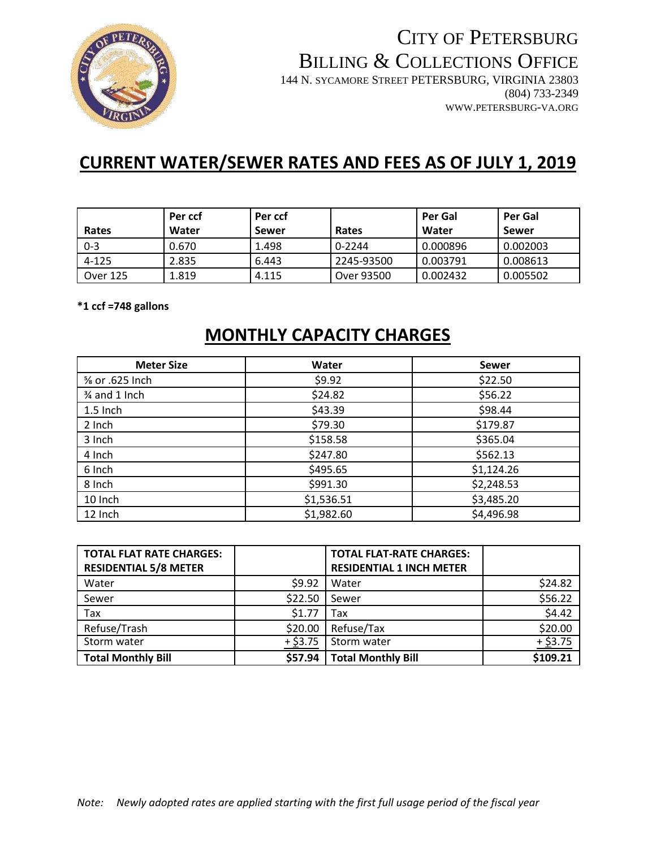

## CITY OF PETERSBURG BILLING & COLLECTIONS OFFICE 144 N. SYCAMORE STREET PETERSBURG, VIRGINIA 23803 (804) 733-2349 WWW.PETERSBURG-VA.ORG

## **CURRENT WATER/SEWER RATES AND FEES AS OF JULY 1, 2019**

|          | Per ccf | Per ccf |            | Per Gal  | Per Gal  |
|----------|---------|---------|------------|----------|----------|
| Rates    | Water   | Sewer   | Rates      | Water    | Sewer    |
| $0 - 3$  | 0.670   | 1.498   | 0-2244     | 0.000896 | 0.002003 |
| 4-125    | 2.835   | 6.443   | 2245-93500 | 0.003791 | 0.008613 |
| Over 125 | 1.819   | 4.115   | Over 93500 | 0.002432 | 0.005502 |

**\*1 ccf =748 gallons**

## **MONTHLY CAPACITY CHARGES**

| <b>Meter Size</b>          | Water      | <b>Sewer</b> |
|----------------------------|------------|--------------|
| $\frac{5}{8}$ or .625 Inch | \$9.92     | \$22.50      |
| 3⁄4 and 1 Inch             | \$24.82    | \$56.22      |
| 1.5 Inch                   | \$43.39    | \$98.44      |
| 2 Inch                     | \$79.30    | \$179.87     |
| 3 Inch                     | \$158.58   | \$365.04     |
| 4 Inch                     | \$247.80   | \$562.13     |
| 6 Inch                     | \$495.65   | \$1,124.26   |
| 8 Inch                     | \$991.30   | \$2,248.53   |
| 10 Inch                    | \$1,536.51 | \$3,485.20   |
| 12 Inch                    | \$1,982.60 | \$4,496.98   |

| <b>TOTAL FLAT RATE CHARGES:</b><br><b>RESIDENTIAL 5/8 METER</b> |                  | <b>TOTAL FLAT-RATE CHARGES:</b><br><b>RESIDENTIAL 1 INCH METER</b> |            |
|-----------------------------------------------------------------|------------------|--------------------------------------------------------------------|------------|
| Water                                                           | \$9.92           | Water                                                              | \$24.82    |
| Sewer                                                           | \$22.50          | Sewer                                                              | \$56.22    |
| Tax                                                             | \$1.77           | Tax                                                                | \$4.42     |
| Refuse/Trash                                                    | \$20.00          | Refuse/Tax                                                         | \$20.00    |
| Storm water                                                     | + <u>\$</u> 3.75 | Storm water                                                        | $+$ \$3.75 |
| <b>Total Monthly Bill</b>                                       | \$57.94          | <b>Total Monthly Bill</b>                                          | \$109.21   |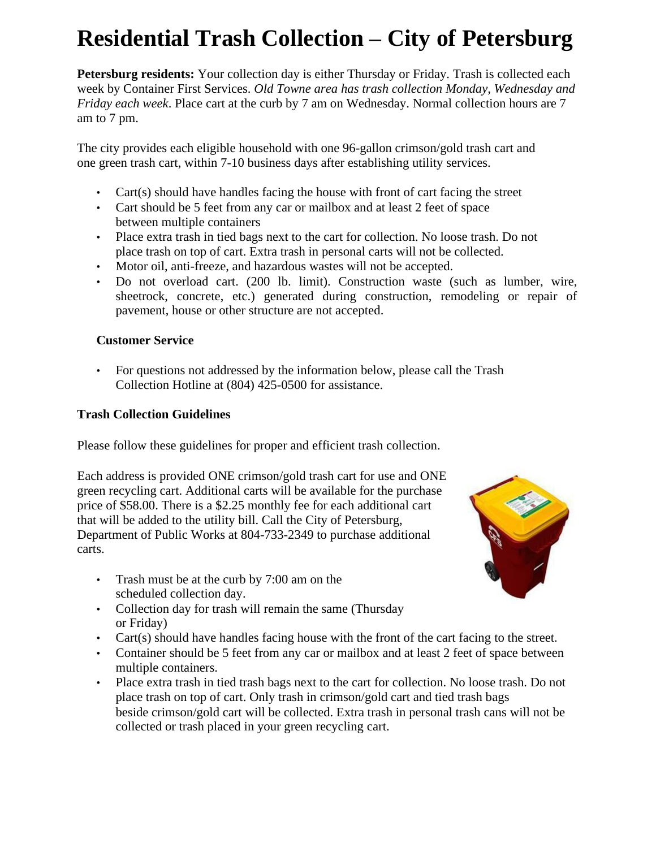# **Residential Trash Collection – City of Petersburg**

**Petersburg residents:** Your collection day is either Thursday or Friday. Trash is collected each week by Container First Services. *Old Towne area has trash collection Monday, Wednesday and Friday each week*. Place cart at the curb by 7 am on Wednesday. Normal collection hours are 7 am to 7 pm.

The city provides each eligible household with one 96-gallon crimson/gold trash cart and one green trash cart, within 7-10 business days after establishing utility services.

- Cart(s) should have handles facing the house with front of cart facing the street
- Cart should be 5 feet from any car or mailbox and at least 2 feet of space between multiple containers
- Place extra trash in tied bags next to the cart for collection. No loose trash. Do not place trash on top of cart. Extra trash in personal carts will not be collected.
- Motor oil, anti-freeze, and hazardous wastes will not be accepted.
- Do not overload cart. (200 lb. limit). Construction waste (such as lumber, wire, sheetrock, concrete, etc.) generated during construction, remodeling or repair of pavement, house or other structure are not accepted.

## **Customer Service**

• For questions not addressed by the information below, please call the Trash Collection Hotline at (804) 425-0500 for assistance.

## **Trash Collection Guidelines**

Please follow these guidelines for proper and efficient trash collection.

Each address is provided ONE crimson/gold trash cart for use and ONE green recycling cart. Additional carts will be available for the purchase price of \$58.00. There is a \$2.25 monthly fee for each additional cart that will be added to the utility bill. Call the City of Petersburg, Department of Public Works at 804-733-2349 to purchase additional carts.

- Trash must be at the curb by 7:00 am on the scheduled collection day.
- Collection day for trash will remain the same (Thursday or Friday)
- Cart(s) should have handles facing house with the front of the cart facing to the street.
- Container should be 5 feet from any car or mailbox and at least 2 feet of space between multiple containers.
- Place extra trash in tied trash bags next to the cart for collection. No loose trash. Do not place trash on top of cart. Only trash in crimson/gold cart and tied trash bags beside crimson/gold cart will be collected. Extra trash in personal trash cans will not be collected or trash placed in your green recycling cart.

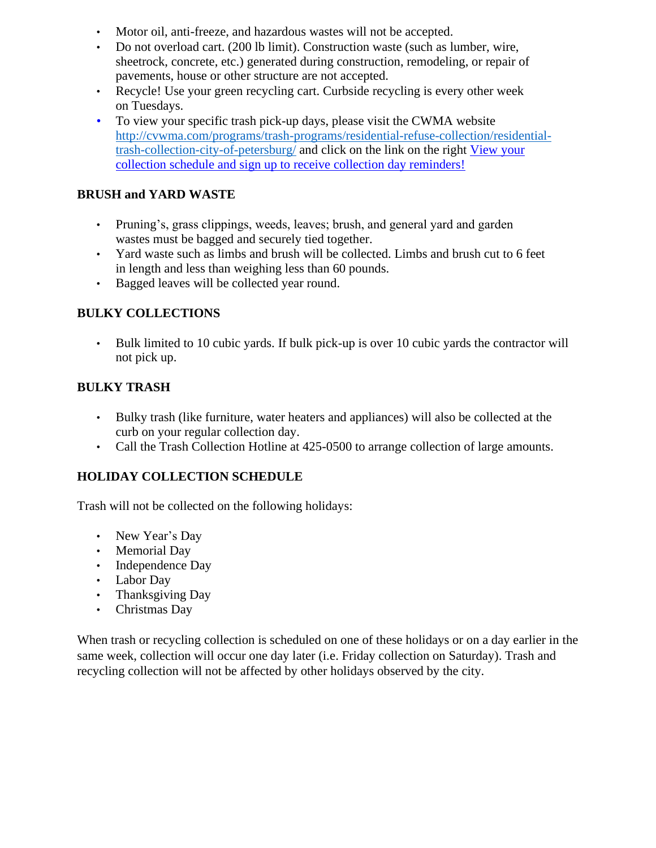- Motor oil, anti-freeze, and hazardous wastes will not be accepted.
- Do not overload cart. (200 lb limit). Construction waste (such as lumber, wire, sheetrock, concrete, etc.) generated during construction, remodeling, or repair of pavements, house or other structure are not accepted.
- Recycle! Use your green recycling cart. Curbside recycling is every other week on Tuesdays.
- To view your specific trash pick-up days, please visit the CWMA website [http://cvwma.com/programs/trash-programs/residential-refuse-collection/residential](http://cvwma.com/programs/trash-programs/residential-refuse-collection/residential-trash-collection-city-of-petersburg/)[trash-collection-city-of-petersburg/](http://cvwma.com/programs/trash-programs/residential-refuse-collection/residential-trash-collection-city-of-petersburg/) and click on the link on the right [View your](https://curbside.cvwma.com/?action=customer:main) [collection schedule and sign up to receive collection day reminders!](https://curbside.cvwma.com/?action=customer:main)

## **BRUSH and YARD WASTE**

- Pruning's, grass clippings, weeds, leaves; brush, and general yard and garden wastes must be bagged and securely tied together.
- Yard waste such as limbs and brush will be collected. Limbs and brush cut to 6 feet in length and less than weighing less than 60 pounds.
- Bagged leaves will be collected year round.

## **BULKY COLLECTIONS**

• Bulk limited to 10 cubic yards. If bulk pick-up is over 10 cubic yards the contractor will not pick up.

## **BULKY TRASH**

- Bulky trash (like furniture, water heaters and appliances) will also be collected at the curb on your regular collection day.
- Call the Trash Collection Hotline at 425-0500 to arrange collection of large amounts.

## **HOLIDAY COLLECTION SCHEDULE**

Trash will not be collected on the following holidays:

- New Year's Day
- Memorial Day
- Independence Day
- Labor Day
- Thanksgiving Day
- Christmas Day

When trash or recycling collection is scheduled on one of these holidays or on a day earlier in the same week, collection will occur one day later (i.e. Friday collection on Saturday). Trash and recycling collection will not be affected by other holidays observed by the city.